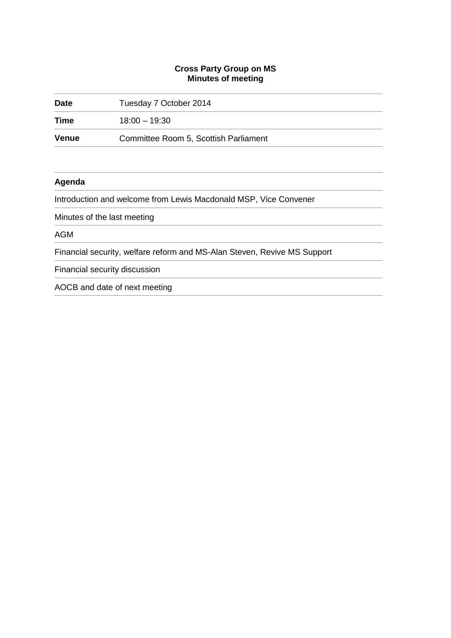## **Cross Party Group on MS Minutes of meeting**

| <b>Date</b> | Tuesday 7 October 2014                                                   |  |
|-------------|--------------------------------------------------------------------------|--|
| Time        | $18:00 - 19:30$                                                          |  |
| Venue       | Committee Room 5, Scottish Parliament                                    |  |
|             |                                                                          |  |
| Agenda      |                                                                          |  |
|             | Introduction and welcome from Lewis Macdonald MSP, Vice Convener         |  |
|             | Minutes of the last meeting                                              |  |
| <b>AGM</b>  |                                                                          |  |
|             | Financial security, welfare reform and MS-Alan Steven, Revive MS Support |  |
|             | Financial security discussion                                            |  |
|             | AOCB and date of next meeting                                            |  |
|             |                                                                          |  |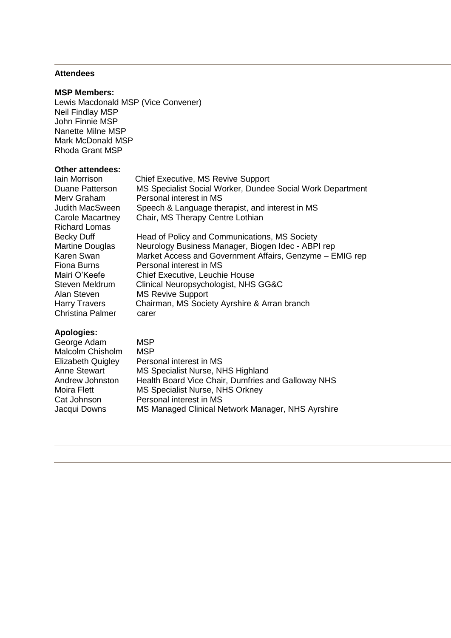## **Attendees**

#### **MSP Members:**

Lewis Macdonald MSP (Vice Convener) Neil Findlay MSP John Finnie MSP Nanette Milne MSP Mark McDonald MSP Rhoda Grant MSP

## **Other attendees:**

| Iain Morrison<br>Duane Patterson<br>Merv Graham<br>Judith MacSween<br>Carole Macartney | <b>Chief Executive, MS Revive Support</b><br>MS Specialist Social Worker, Dundee Social Work Department<br>Personal interest in MS<br>Speech & Language therapist, and interest in MS<br>Chair, MS Therapy Centre Lothian |
|----------------------------------------------------------------------------------------|---------------------------------------------------------------------------------------------------------------------------------------------------------------------------------------------------------------------------|
| <b>Richard Lomas</b>                                                                   |                                                                                                                                                                                                                           |
| <b>Becky Duff</b>                                                                      | Head of Policy and Communications, MS Society                                                                                                                                                                             |
| <b>Martine Douglas</b>                                                                 | Neurology Business Manager, Biogen Idec - ABPI rep                                                                                                                                                                        |
| Karen Swan                                                                             | Market Access and Government Affairs, Genzyme - EMIG rep                                                                                                                                                                  |
| Fiona Burns                                                                            | Personal interest in MS                                                                                                                                                                                                   |
| Mairi O'Keefe                                                                          | Chief Executive, Leuchie House                                                                                                                                                                                            |
| Steven Meldrum                                                                         | Clinical Neuropsychologist, NHS GG&C                                                                                                                                                                                      |
| Alan Steven                                                                            | <b>MS Revive Support</b>                                                                                                                                                                                                  |
| <b>Harry Travers</b>                                                                   | Chairman, MS Society Ayrshire & Arran branch                                                                                                                                                                              |
| <b>Christina Palmer</b>                                                                | carer                                                                                                                                                                                                                     |
|                                                                                        |                                                                                                                                                                                                                           |

# **Apologies:**

| George Adam              | <b>MSP</b>                                         |
|--------------------------|----------------------------------------------------|
| Malcolm Chisholm         | <b>MSP</b>                                         |
| <b>Elizabeth Quigley</b> | Personal interest in MS                            |
| Anne Stewart             | MS Specialist Nurse, NHS Highland                  |
| Andrew Johnston          | Health Board Vice Chair, Dumfries and Galloway NHS |
| Moira Flett              | MS Specialist Nurse, NHS Orkney                    |
| Cat Johnson              | Personal interest in MS                            |
| Jacqui Downs             | MS Managed Clinical Network Manager, NHS Ayrshire  |
|                          |                                                    |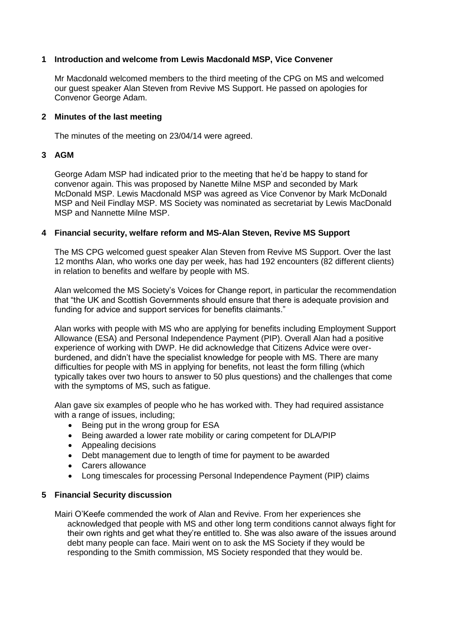## **1 Introduction and welcome from Lewis Macdonald MSP, Vice Convener**

Mr Macdonald welcomed members to the third meeting of the CPG on MS and welcomed our guest speaker Alan Steven from Revive MS Support. He passed on apologies for Convenor George Adam.

#### **2 Minutes of the last meeting**

The minutes of the meeting on 23/04/14 were agreed.

#### **3 AGM**

George Adam MSP had indicated prior to the meeting that he'd be happy to stand for convenor again. This was proposed by Nanette Milne MSP and seconded by Mark McDonald MSP. Lewis Macdonald MSP was agreed as Vice Convenor by Mark McDonald MSP and Neil Findlay MSP. MS Society was nominated as secretariat by Lewis MacDonald MSP and Nannette Milne MSP.

#### **4 Financial security, welfare reform and MS-Alan Steven, Revive MS Support**

The MS CPG welcomed guest speaker Alan Steven from Revive MS Support. Over the last 12 months Alan, who works one day per week, has had 192 encounters (82 different clients) in relation to benefits and welfare by people with MS.

Alan welcomed the MS Society's Voices for Change report, in particular the recommendation that "the UK and Scottish Governments should ensure that there is adequate provision and funding for advice and support services for benefits claimants."

Alan works with people with MS who are applying for benefits including Employment Support Allowance (ESA) and Personal Independence Payment (PIP). Overall Alan had a positive experience of working with DWP. He did acknowledge that Citizens Advice were overburdened, and didn't have the specialist knowledge for people with MS. There are many difficulties for people with MS in applying for benefits, not least the form filling (which typically takes over two hours to answer to 50 plus questions) and the challenges that come with the symptoms of MS, such as fatigue.

Alan gave six examples of people who he has worked with. They had required assistance with a range of issues, including;

- Being put in the wrong group for ESA
- Being awarded a lower rate mobility or caring competent for DLA/PIP
- Appealing decisions
- Debt management due to length of time for payment to be awarded
- Carers allowance
- Long timescales for processing Personal Independence Payment (PIP) claims

## **5 Financial Security discussion**

Mairi O'Keefe commended the work of Alan and Revive. From her experiences she acknowledged that people with MS and other long term conditions cannot always fight for their own rights and get what they're entitled to. She was also aware of the issues around debt many people can face. Mairi went on to ask the MS Society if they would be responding to the Smith commission, MS Society responded that they would be.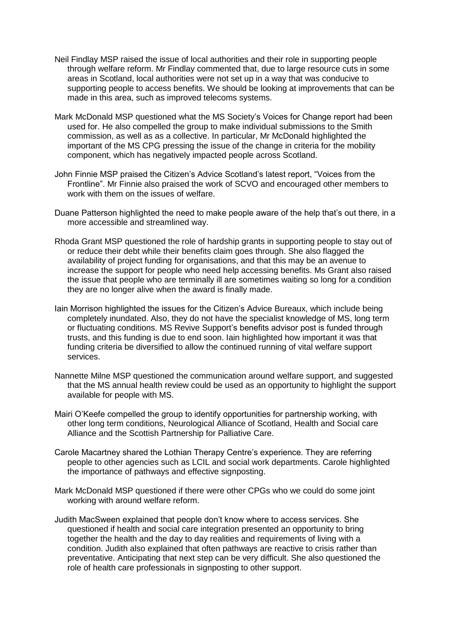- Neil Findlay MSP raised the issue of local authorities and their role in supporting people through welfare reform. Mr Findlay commented that, due to large resource cuts in some areas in Scotland, local authorities were not set up in a way that was conducive to supporting people to access benefits. We should be looking at improvements that can be made in this area, such as improved telecoms systems.
- Mark McDonald MSP questioned what the MS Society's Voices for Change report had been used for. He also compelled the group to make individual submissions to the Smith commission, as well as as a collective. In particular, Mr McDonald highlighted the important of the MS CPG pressing the issue of the change in criteria for the mobility component, which has negatively impacted people across Scotland.
- John Finnie MSP praised the Citizen's Advice Scotland's latest report, "Voices from the Frontline". Mr Finnie also praised the work of SCVO and encouraged other members to work with them on the issues of welfare.
- Duane Patterson highlighted the need to make people aware of the help that's out there, in a more accessible and streamlined way.
- Rhoda Grant MSP questioned the role of hardship grants in supporting people to stay out of or reduce their debt while their benefits claim goes through. She also flagged the availability of project funding for organisations, and that this may be an avenue to increase the support for people who need help accessing benefits. Ms Grant also raised the issue that people who are terminally ill are sometimes waiting so long for a condition they are no longer alive when the award is finally made.
- Iain Morrison highlighted the issues for the Citizen's Advice Bureaux, which include being completely inundated. Also, they do not have the specialist knowledge of MS, long term or fluctuating conditions. MS Revive Support's benefits advisor post is funded through trusts, and this funding is due to end soon. Iain highlighted how important it was that funding criteria be diversified to allow the continued running of vital welfare support services.
- Nannette Milne MSP questioned the communication around welfare support, and suggested that the MS annual health review could be used as an opportunity to highlight the support available for people with MS.
- Mairi O'Keefe compelled the group to identify opportunities for partnership working, with other long term conditions, Neurological Alliance of Scotland, Health and Social care Alliance and the Scottish Partnership for Palliative Care.
- Carole Macartney shared the Lothian Therapy Centre's experience. They are referring people to other agencies such as LCIL and social work departments. Carole highlighted the importance of pathways and effective signposting.
- Mark McDonald MSP questioned if there were other CPGs who we could do some joint working with around welfare reform.
- Judith MacSween explained that people don't know where to access services. She questioned if health and social care integration presented an opportunity to bring together the health and the day to day realities and requirements of living with a condition. Judith also explained that often pathways are reactive to crisis rather than preventative. Anticipating that next step can be very difficult. She also questioned the role of health care professionals in signposting to other support.